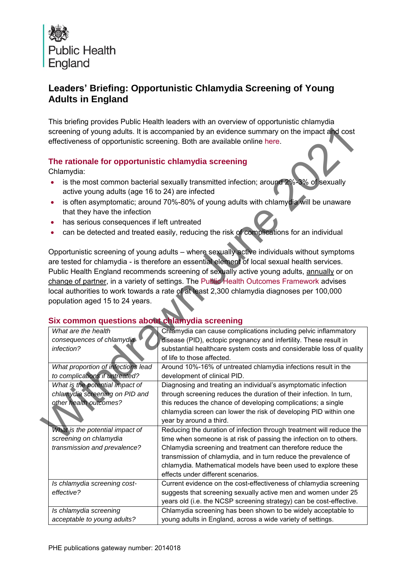

# **Leaders' Briefing: Opportunistic Chlamydia Screening of Young Adults in England**

This briefing provides Public Health leaders with an overview of opportunistic chlamydia screening of young adults. It is accompanied by an evidence summary on the impact and cost effectiveness of opportunistic screening. Both are available online here.

### **The rationale for opportunistic chlamydia screening**

- is the most common bacterial sexually transmitted infection; around 2%-3% of sexually active young adults (age 16 to 24) are infected
- is often asymptomatic; around 70%-80% of young adults with chlamydia will be unaware that they have the infection
- has serious consequences if left untreated
- can be detected and treated easily, reducing the risk of complications for an individual

## **Six common questions about chlamydia screening**

| screening of young adults. It is accompanied by an evidence summary on the impact and cost<br>effectiveness of opportunistic screening. Both are available online here. |                                                                                                                                                                                                                                                                                         |                                                                                                                                                                                                                                                                                                                                                                                                                                                                                                                                                                                                                                                                                                                                                                     |
|-------------------------------------------------------------------------------------------------------------------------------------------------------------------------|-----------------------------------------------------------------------------------------------------------------------------------------------------------------------------------------------------------------------------------------------------------------------------------------|---------------------------------------------------------------------------------------------------------------------------------------------------------------------------------------------------------------------------------------------------------------------------------------------------------------------------------------------------------------------------------------------------------------------------------------------------------------------------------------------------------------------------------------------------------------------------------------------------------------------------------------------------------------------------------------------------------------------------------------------------------------------|
|                                                                                                                                                                         | The rationale for opportunistic chlamydia screening<br>Chlamydia:<br>active young adults (age 16 to 24) are infected<br>that they have the infection<br>has serious consequences if left untreated<br>population aged 15 to 24 years.<br>Six common questions about chlamydia screening | is the most common bacterial sexually transmitted infection; around 2%-3% of sexually<br>is often asymptomatic; around 70%-80% of young adults with chlamydia will be unaware<br>can be detected and treated easily, reducing the risk of complications for an individual<br>Opportunistic screening of young adults - where sexually active individuals without symptoms<br>are tested for chlamydia - is therefore an essential element of local sexual health services.<br>Public Health England recommends screening of sexually active young adults, annually or on<br>change of partner, in a variety of settings. The Public Health Outcomes Framework advises<br>local authorities to work towards a rate of at least 2,300 chlamydia diagnoses per 100,000 |
|                                                                                                                                                                         | What are the health<br>consequences of chlamydia<br>infection?                                                                                                                                                                                                                          | Chlamydia can cause complications including pelvic inflammatory<br>disease (PID), ectopic pregnancy and infertility. These result in<br>substantial healthcare system costs and considerable loss of quality<br>of life to those affected.                                                                                                                                                                                                                                                                                                                                                                                                                                                                                                                          |
|                                                                                                                                                                         | What proportion of infections lead<br>to complications if untreated?                                                                                                                                                                                                                    | Around 10%-16% of untreated chlamydia infections result in the<br>development of clinical PID.                                                                                                                                                                                                                                                                                                                                                                                                                                                                                                                                                                                                                                                                      |
|                                                                                                                                                                         | What is the potential impact of<br>chlamydia screening on PID and<br>other health outcomes?                                                                                                                                                                                             | Diagnosing and treating an individual's asymptomatic infection<br>through screening reduces the duration of their infection. In turn,<br>this reduces the chance of developing complications; a single<br>chlamydia screen can lower the risk of developing PID within one<br>year by around a third.                                                                                                                                                                                                                                                                                                                                                                                                                                                               |
|                                                                                                                                                                         | What is the potential impact of<br>screening on chlamydia<br>transmission and prevalence?                                                                                                                                                                                               | Reducing the duration of infection through treatment will reduce the<br>time when someone is at risk of passing the infection on to others.<br>Chlamydia screening and treatment can therefore reduce the<br>transmission of chlamydia, and in turn reduce the prevalence of<br>chlamydia. Mathematical models have been used to explore these<br>effects under different scenarios.                                                                                                                                                                                                                                                                                                                                                                                |
|                                                                                                                                                                         | Is chlamydia screening cost-<br>effective?                                                                                                                                                                                                                                              | Current evidence on the cost-effectiveness of chlamydia screening<br>suggests that screening sexually active men and women under 25<br>years old (i.e. the NCSP screening strategy) can be cost-effective.                                                                                                                                                                                                                                                                                                                                                                                                                                                                                                                                                          |
|                                                                                                                                                                         | Is chlamydia screening<br>acceptable to young adults?                                                                                                                                                                                                                                   | Chlamydia screening has been shown to be widely acceptable to<br>young adults in England, across a wide variety of settings.                                                                                                                                                                                                                                                                                                                                                                                                                                                                                                                                                                                                                                        |